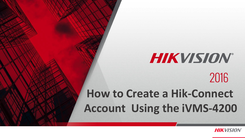# **HIKVISION®** 2016

#### **How to Create a Hik-Connect Account Using the iVMS-4200**

© 2015HikvisionUSAInc. AllRightsReserved.Confidentialand Proprietary.

**HIKVISION**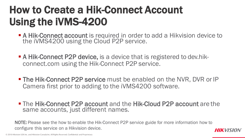- A Hik-Connect account is required in order to add a Hikvision device to the iVMS4200 using the Cloud P2P service.
- **A Hik-Connect P2P device, is a device that is registered to dev.hik**connect.com using the Hik-Connect P2P service.
- **The Hik-Connect P2P service** must be enabled on the NVR, DVR or IP Camera first prior to adding to the iVMS4200 software.
- The Hik-Connect P2P account and the Hik-Cloud P2P account are the same accounts, just different names.

NOTE: Please see the how to enable the Hik-Connect P2P service guide for more information how to configure this service on a Hikvision device.

© 2016 Hikvision USA Inc. and Hikvision Canada Inc.AllRights Reserved.Confidential and Proprietary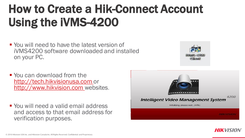**• You will need to have the latest version of** iVMS4200 software downloaded and installed on your PC.



- You can download from the [http://tech.hikvisionusa.com](http://tech.hikvisionusa.com/) or [http://www.hikvision.com](http://www.hikvision.com/) websites.
- You will need a valid email address and access to that email address for verification purposes.



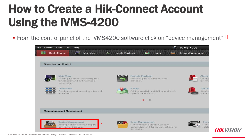From the control panel of the iVMS4200 software click on "device management"[1]



**HIK**VISION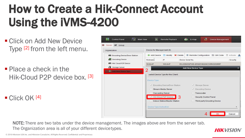- Click on Add New Device Type [2] from the left menu.
- Place a check in the Hik-Cloud P2P device box. [3]

 $\blacksquare$  Click OK [4]



NOTE: There are two tabs under the device management. The images above are from the server tab. The Organization area is all of your different devicetypes.

**HIKVISION**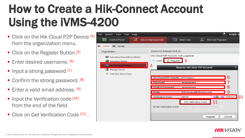- Click on the Hik Cloud P2P Device [4] from the organization menu.
- Click on the Register Button.<sup>[5]</sup>
- **F** Fnter desired username. [6]
- Input a strong password [7]
- Confirm the strong password. [8]
- **F** Fnter a valid email address.  $[9]$
- Input the Verification code  $[10]$ from the end of the field.
- Click on Get Verification Code<sup>[11]</sup>.



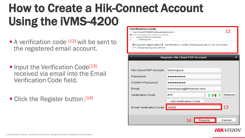- $\blacksquare$  A verification code  $[12]$  will be sent to the registered email account.
- Input the Verification Code<sup>[13]</sup> received via email into the Email Verification Code field.
- Click the Register button.<sup>[14]</sup>

#### **Verification Code** 12 service312@hicloudcam.com **O** This message was AutoForwarded. Wed 8/3/2016 10:45 AM training, usa [account registration] Verification code: 4295.expires in 30 minutes. [+] Scaned by IronPort **Register Hik Cloud P2P Account Hik Cloud P2P Account:** trainingusa Password ........ Confirm Password .......... trainingusa@hikvision.com Email Verification Code: **IPIT** 'L' RI TÈ Refresh **Get Verification Code** 13**Email Verification Code:** 4295 14 Register Cancel

#### *HIK VISION*